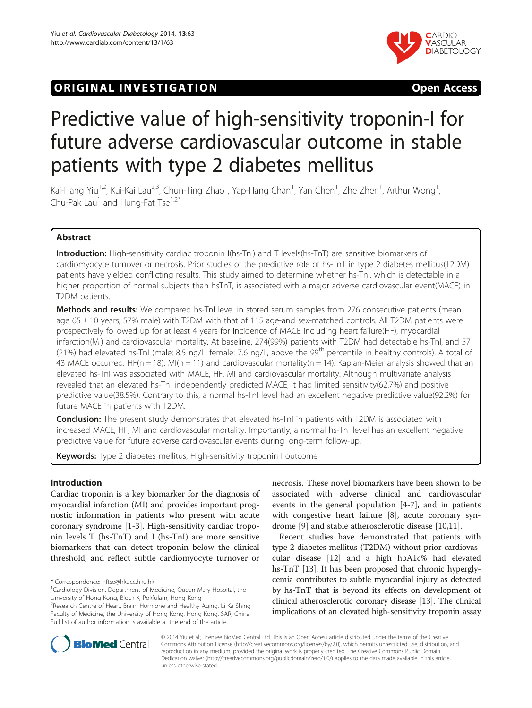# **ORIGINAL INVESTIGATION CONSUMING ACCESS**



# Predictive value of high-sensitivity troponin-I for future adverse cardiovascular outcome in stable patients with type 2 diabetes mellitus

Kai-Hang Yiu<sup>1,2</sup>, Kui-Kai Lau<sup>2,3</sup>, Chun-Ting Zhao<sup>1</sup>, Yap-Hang Chan<sup>1</sup>, Yan Chen<sup>1</sup>, Zhe Zhen<sup>1</sup>, Arthur Wong<sup>1</sup> , Chu-Pak Lau<sup>1</sup> and Hung-Fat Tse<sup>1,2\*</sup>

# Abstract

Introduction: High-sensitivity cardiac troponin I(hs-TnI) and T levels(hs-TnT) are sensitive biomarkers of cardiomyocyte turnover or necrosis. Prior studies of the predictive role of hs-TnT in type 2 diabetes mellitus(T2DM) patients have yielded conflicting results. This study aimed to determine whether hs-TnI, which is detectable in a higher proportion of normal subjects than hsTnT, is associated with a major adverse cardiovascular event(MACE) in T2DM patients.

Methods and results: We compared hs-TnI level in stored serum samples from 276 consecutive patients (mean age 65 ± 10 years; 57% male) with T2DM with that of 115 age-and sex-matched controls. All T2DM patients were prospectively followed up for at least 4 years for incidence of MACE including heart failure(HF), myocardial infarction(MI) and cardiovascular mortality. At baseline, 274(99%) patients with T2DM had detectable hs-TnI, and 57 (21%) had elevated hs-TnI (male: 8.5 ng/L, female: 7.6 ng/L, above the 99<sup>th</sup> percentile in healthy controls). A total of 43 MACE occurred: HF(n = 18), MI(n = 11) and cardiovascular mortality(n = 14). Kaplan-Meier analysis showed that an elevated hs-TnI was associated with MACE, HF, MI and cardiovascular mortality. Although multivariate analysis revealed that an elevated hs-TnI independently predicted MACE, it had limited sensitivity(62.7%) and positive predictive value(38.5%). Contrary to this, a normal hs-TnI level had an excellent negative predictive value(92.2%) for future MACE in patients with T2DM.

**Conclusion:** The present study demonstrates that elevated hs-TnI in patients with T2DM is associated with increased MACE, HF, MI and cardiovascular mortality. Importantly, a normal hs-TnI level has an excellent negative predictive value for future adverse cardiovascular events during long-term follow-up.

Keywords: Type 2 diabetes mellitus, High-sensitivity troponin I outcome

# Introduction

Cardiac troponin is a key biomarker for the diagnosis of myocardial infarction (MI) and provides important prognostic information in patients who present with acute coronary syndrome [[1-3](#page-6-0)]. High-sensitivity cardiac troponin levels T (hs-TnT) and I (hs-TnI) are more sensitive biomarkers that can detect troponin below the clinical threshold, and reflect subtle cardiomyocyte turnover or

necrosis. These novel biomarkers have been shown to be associated with adverse clinical and cardiovascular events in the general population [[4-7](#page-6-0)], and in patients with congestive heart failure [[8\]](#page-6-0), acute coronary syndrome [\[9](#page-6-0)] and stable atherosclerotic disease [[10](#page-6-0),[11](#page-6-0)].

Recent studies have demonstrated that patients with type 2 diabetes mellitus (T2DM) without prior cardiovascular disease [\[12\]](#page-6-0) and a high hbA1c% had elevated hs-TnT [\[13](#page-6-0)]. It has been proposed that chronic hyperglycemia contributes to subtle myocardial injury as detected by hs-TnT that is beyond its effects on development of clinical atherosclerotic coronary disease [\[13](#page-6-0)]. The clinical implications of an elevated high-sensitivity troponin assay



© 2014 Yiu et al.; licensee BioMed Central Ltd. This is an Open Access article distributed under the terms of the Creative Commons Attribution License [\(http://creativecommons.org/licenses/by/2.0\)](http://creativecommons.org/licenses/by/2.0), which permits unrestricted use, distribution, and reproduction in any medium, provided the original work is properly credited. The Creative Commons Public Domain Dedication waiver [\(http://creativecommons.org/publicdomain/zero/1.0/](http://creativecommons.org/publicdomain/zero/1.0/)) applies to the data made available in this article, unless otherwise stated.

<sup>\*</sup> Correspondence: [hftse@hkucc.hku.hk](mailto:hftse@hkucc.hku.hk) <sup>1</sup>

<sup>&</sup>lt;sup>1</sup> Cardiology Division, Department of Medicine, Queen Mary Hospital, the University of Hong Kong, Block K, Pokfulam, Hong Kong

<sup>&</sup>lt;sup>2</sup> Research Centre of Heart, Brain, Hormone and Healthy Aging, Li Ka Shing Faculty of Medicine, the University of Hong Kong, Hong Kong, SAR, China Full list of author information is available at the end of the article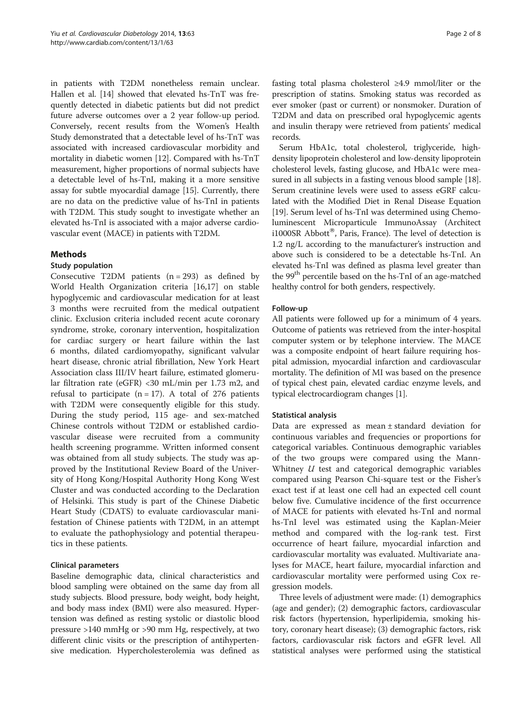in patients with T2DM nonetheless remain unclear. Hallen et al. [\[14\]](#page-6-0) showed that elevated hs-TnT was frequently detected in diabetic patients but did not predict future adverse outcomes over a 2 year follow-up period. Conversely, recent results from the Women's Health Study demonstrated that a detectable level of hs-TnT was associated with increased cardiovascular morbidity and mortality in diabetic women [[12](#page-6-0)]. Compared with hs-TnT measurement, higher proportions of normal subjects have a detectable level of hs-TnI, making it a more sensitive assay for subtle myocardial damage [[15](#page-6-0)]. Currently, there are no data on the predictive value of hs-TnI in patients with T2DM. This study sought to investigate whether an elevated hs-TnI is associated with a major adverse cardiovascular event (MACE) in patients with T2DM.

# Methods

# Study population

Consecutive T2DM patients  $(n = 293)$  as defined by World Health Organization criteria [[16,17\]](#page-6-0) on stable hypoglycemic and cardiovascular medication for at least 3 months were recruited from the medical outpatient clinic. Exclusion criteria included recent acute coronary syndrome, stroke, coronary intervention, hospitalization for cardiac surgery or heart failure within the last 6 months, dilated cardiomyopathy, significant valvular heart disease, chronic atrial fibrillation, New York Heart Association class III/IV heart failure, estimated glomerular filtration rate (eGFR) <30 mL/min per 1.73 m2, and refusal to participate  $(n = 17)$ . A total of 276 patients with T2DM were consequently eligible for this study. During the study period, 115 age- and sex-matched Chinese controls without T2DM or established cardiovascular disease were recruited from a community health screening programme. Written informed consent was obtained from all study subjects. The study was approved by the Institutional Review Board of the University of Hong Kong/Hospital Authority Hong Kong West Cluster and was conducted according to the Declaration of Helsinki. This study is part of the Chinese Diabetic Heart Study (CDATS) to evaluate cardiovascular manifestation of Chinese patients with T2DM, in an attempt to evaluate the pathophysiology and potential therapeutics in these patients.

# Clinical parameters

Baseline demographic data, clinical characteristics and blood sampling were obtained on the same day from all study subjects. Blood pressure, body weight, body height, and body mass index (BMI) were also measured. Hypertension was defined as resting systolic or diastolic blood pressure >140 mmHg or >90 mm Hg, respectively, at two different clinic visits or the prescription of antihypertensive medication. Hypercholesterolemia was defined as fasting total plasma cholesterol ≥4.9 mmol/liter or the prescription of statins. Smoking status was recorded as ever smoker (past or current) or nonsmoker. Duration of T2DM and data on prescribed oral hypoglycemic agents and insulin therapy were retrieved from patients' medical records.

Serum HbA1c, total cholesterol, triglyceride, highdensity lipoprotein cholesterol and low-density lipoprotein cholesterol levels, fasting glucose, and HbA1c were measured in all subjects in a fasting venous blood sample [[18](#page-6-0)]. Serum creatinine levels were used to assess eGRF calculated with the Modified Diet in Renal Disease Equation [[19](#page-6-0)]. Serum level of hs-TnI was determined using Chemoluminescent Microparticule ImmunoAssay (Architect i1000SR Abbott<sup>®</sup>, Paris, France). The level of detection is 1.2 ng/L according to the manufacturer's instruction and above such is considered to be a detectable hs-TnI. An elevated hs-TnI was defined as plasma level greater than the 99<sup>th</sup> percentile based on the hs-TnI of an age-matched healthy control for both genders, respectively.

# Follow-up

All patients were followed up for a minimum of 4 years. Outcome of patients was retrieved from the inter-hospital computer system or by telephone interview. The MACE was a composite endpoint of heart failure requiring hospital admission, myocardial infarction and cardiovascular mortality. The definition of MI was based on the presence of typical chest pain, elevated cardiac enzyme levels, and typical electrocardiogram changes [\[1](#page-6-0)].

# Statistical analysis

Data are expressed as mean ± standard deviation for continuous variables and frequencies or proportions for categorical variables. Continuous demographic variables of the two groups were compared using the Mann-Whitney U test and categorical demographic variables compared using Pearson Chi-square test or the Fisher's exact test if at least one cell had an expected cell count below five. Cumulative incidence of the first occurrence of MACE for patients with elevated hs-TnI and normal hs-TnI level was estimated using the Kaplan-Meier method and compared with the log-rank test. First occurrence of heart failure, myocardial infarction and cardiovascular mortality was evaluated. Multivariate analyses for MACE, heart failure, myocardial infarction and cardiovascular mortality were performed using Cox regression models.

Three levels of adjustment were made: (1) demographics (age and gender); (2) demographic factors, cardiovascular risk factors (hypertension, hyperlipidemia, smoking history, coronary heart disease); (3) demographic factors, risk factors, cardiovascular risk factors and eGFR level. All statistical analyses were performed using the statistical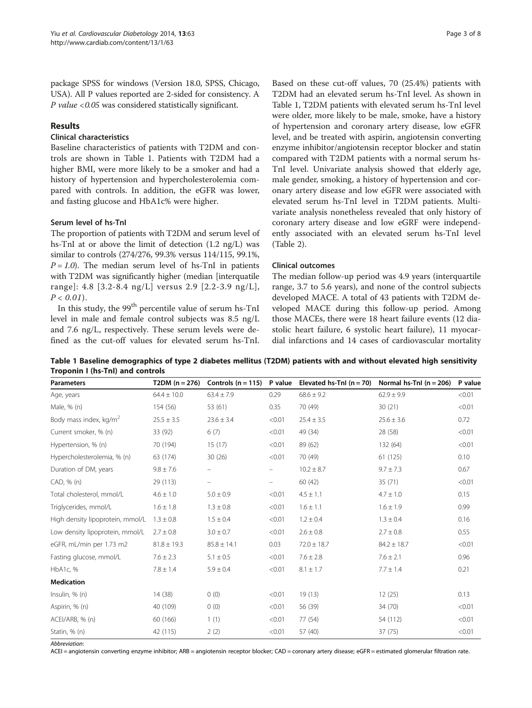<span id="page-2-0"></span>package SPSS for windows (Version 18.0, SPSS, Chicago, USA). All P values reported are 2-sided for consistency. A  $P$  value <0.05 was considered statistically significant.

# Results

# Clinical characteristics

Baseline characteristics of patients with T2DM and controls are shown in Table 1. Patients with T2DM had a higher BMI, were more likely to be a smoker and had a history of hypertension and hypercholesterolemia compared with controls. In addition, the eGFR was lower, and fasting glucose and HbA1c% were higher.

# Serum level of hs-TnI

The proportion of patients with T2DM and serum level of hs-TnI at or above the limit of detection (1.2 ng/L) was similar to controls (274/276, 99.3% versus 114/115, 99.1%,  $P = 1.0$ ). The median serum level of hs-TnI in patients with T2DM was significantly higher (median [interquatile range]: 4.8 [3.2-8.4 ng/L] versus 2.9 [2.2-3.9 ng/L],  $P < 0.01$ ).

In this study, the  $99<sup>th</sup>$  percentile value of serum hs-TnI level in male and female control subjects was 8.5 ng/L and 7.6 ng/L, respectively. These serum levels were defined as the cut-off values for elevated serum hs-TnI.

Based on these cut-off values, 70 (25.4%) patients with T2DM had an elevated serum hs-TnI level. As shown in Table 1, T2DM patients with elevated serum hs-TnI level were older, more likely to be male, smoke, have a history of hypertension and coronary artery disease, low eGFR level, and be treated with aspirin, angiotensin converting enzyme inhibitor/angiotensin receptor blocker and statin compared with T2DM patients with a normal serum hs-TnI level. Univariate analysis showed that elderly age, male gender, smoking, a history of hypertension and coronary artery disease and low eGFR were associated with elevated serum hs-TnI level in T2DM patients. Multivariate analysis nonetheless revealed that only history of coronary artery disease and low eGRF were independently associated with an elevated serum hs-TnI level (Table [2\)](#page-3-0).

# Clinical outcomes

The median follow-up period was 4.9 years (interquartile range, 3.7 to 5.6 years), and none of the control subjects developed MACE. A total of 43 patients with T2DM developed MACE during this follow-up period. Among those MACEs, there were 18 heart failure events (12 diastolic heart failure, 6 systolic heart failure), 11 myocardial infarctions and 14 cases of cardiovascular mortality

Table 1 Baseline demographics of type 2 diabetes mellitus (T2DM) patients with and without elevated high sensitivity Troponin I (hs-TnI) and controls

| <b>Parameters</b>                  | T2DM $(n = 276)$ | Controls $(n = 115)$ | P value                  | Elevated hs-Tnl $(n = 70)$ | Normal $hs-$ Tnl ( $n = 206$ ) | P value |
|------------------------------------|------------------|----------------------|--------------------------|----------------------------|--------------------------------|---------|
| Age, years                         | $64.4 \pm 10.0$  | $63.4 \pm 7.9$       | 0.29                     | $68.6 \pm 9.2$             | $62.9 \pm 9.9$                 | < 0.01  |
| Male, % (n)                        | 154 (56)         | 53 (61)              | 0.35                     | 70 (49)                    | 30(21)                         | < 0.01  |
| Body mass index, kg/m <sup>2</sup> | $25.5 \pm 3.5$   | $23.6 \pm 3.4$       | < 0.01                   | $25.4 \pm 3.5$             | $25.6 \pm 3.6$                 | 0.72    |
| Current smoker, % (n)              | 33 (92)          | 6(7)                 | < 0.01                   | 49 (34)                    | 28 (58)                        | < 0.01  |
| Hypertension, % (n)                | 70 (194)         | 15(17)               | < 0.01                   | 89 (62)                    | 132 (64)                       | < 0.01  |
| Hypercholesterolemia, % (n)        | 63 (174)         | 30(26)               | < 0.01                   | 70 (49)                    | 61 (125)                       | 0.10    |
| Duration of DM, years              | $9.8 \pm 7.6$    | -                    | $\overline{\phantom{0}}$ | $10.2 \pm 8.7$             | $9.7 \pm 7.3$                  | 0.67    |
| CAD, % (n)                         | 29 (113)         | $\qquad \qquad -$    | $\overline{\phantom{0}}$ | 60 (42)                    | 35(71)                         | < 0.01  |
| Total cholesterol, mmol/L          | $4.6 \pm 1.0$    | $5.0 \pm 0.9$        | < 0.01                   | $4.5 \pm 1.1$              | $4.7 \pm 1.0$                  | 0.15    |
| Triglycerides, mmol/L              | $1.6 \pm 1.8$    | $1.3 \pm 0.8$        | < 0.01                   | $1.6 \pm 1.1$              | $1.6 \pm 1.9$                  | 0.99    |
| High density lipoprotein, mmol/L   | $1.3 \pm 0.8$    | $1.5 \pm 0.4$        | < 0.01                   | $1.2 \pm 0.4$              | $1.3 \pm 0.4$                  | 0.16    |
| Low density lipoprotein, mmol/L    | $2.7 \pm 0.8$    | $3.0 \pm 0.7$        | < 0.01                   | $2.6 \pm 0.8$              | $2.7 \pm 0.8$                  | 0.55    |
| eGFR, mL/min per 1.73 m2           | $81.8 \pm 19.3$  | $85.8 \pm 14.1$      | 0.03                     | $72.0 \pm 18.7$            | $84.2 \pm 18.7$                | < 0.01  |
| Fasting glucose, mmol/L            | $7.6 \pm 2.3$    | $5.1 \pm 0.5$        | < 0.01                   | $7.6 \pm 2.8$              | $7.6 \pm 2.1$                  | 0.96    |
| HbA1c, %                           | $7.8 \pm 1.4$    | $5.9 \pm 0.4$        | < 0.01                   | $8.1 \pm 1.7$              | $7.7 \pm 1.4$                  | 0.21    |
| <b>Medication</b>                  |                  |                      |                          |                            |                                |         |
| Insulin, $% (n)$                   | 14 (38)          | 0(0)                 | < 0.01                   | 19(13)                     | 12(25)                         | 0.13    |
| Aspirin, % (n)                     | 40 (109)         | 0(0)                 | < 0.01                   | 56 (39)                    | 34 (70)                        | < 0.01  |
| ACEI/ARB, % (n)                    | 60 (166)         | 1(1)                 | < 0.01                   | 77 (54)                    | 54 (112)                       | < 0.01  |
| Statin, % (n)                      | 42 (115)         | 2(2)                 | < 0.01                   | 57 (40)                    | 37 (75)                        | < 0.01  |

Abbreviation:

ACEI = angiotensin converting enzyme inhibitor; ARB = angiotensin receptor blocker; CAD = coronary artery disease; eGFR = estimated glomerular filtration rate.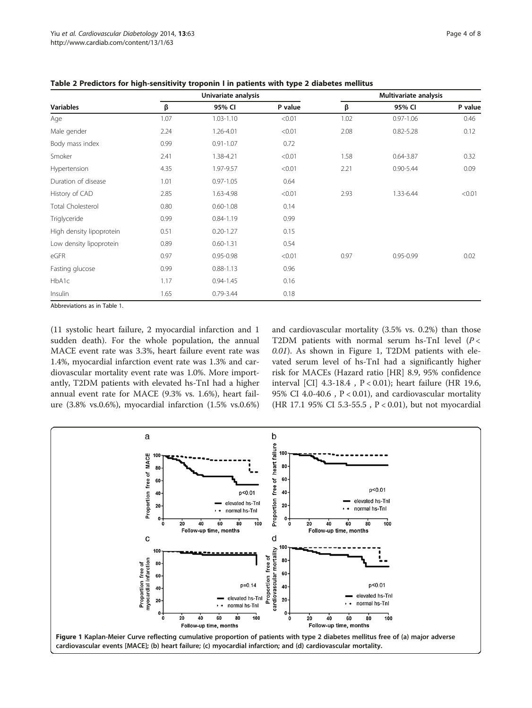| <b>Variables</b>            | Univariate analysis |               |         | Multivariate analysis |               |         |  |
|-----------------------------|---------------------|---------------|---------|-----------------------|---------------|---------|--|
|                             | β                   | 95% CI        | P value | β                     | 95% CI        | P value |  |
| Age                         | 1.07                | $1.03 - 1.10$ | < 0.01  | 1.02                  | $0.97 - 1.06$ | 0.46    |  |
| Male gender                 | 2.24                | 1.26-4.01     | < 0.01  | 2.08                  | $0.82 - 5.28$ | 0.12    |  |
| Body mass index             | 0.99                | $0.91 - 1.07$ | 0.72    |                       |               |         |  |
| Smoker                      | 2.41                | 1.38-4.21     | < 0.01  | 1.58                  | $0.64 - 3.87$ | 0.32    |  |
| Hypertension                | 4.35                | 1.97-9.57     | < 0.01  | 2.21                  | $0.90 - 5.44$ | 0.09    |  |
| Duration of disease         | 1.01                | $0.97 - 1.05$ | 0.64    |                       |               |         |  |
| History of CAD              | 2.85                | 1.63-4.98     | < 0.01  | 2.93                  | 1.33-6.44     | < 0.01  |  |
| <b>Total Cholesterol</b>    | 0.80                | $0.60 - 1.08$ | 0.14    |                       |               |         |  |
| Triglyceride                | 0.99                | $0.84 - 1.19$ | 0.99    |                       |               |         |  |
| High density lipoprotein    | 0.51                | $0.20 - 1.27$ | 0.15    |                       |               |         |  |
| Low density lipoprotein     | 0.89                | $0.60 - 1.31$ | 0.54    |                       |               |         |  |
| eGFR                        | 0.97                | 0.95-0.98     | < 0.01  | 0.97                  | $0.95 - 0.99$ | 0.02    |  |
| Fasting glucose             | 0.99                | $0.88 - 1.13$ | 0.96    |                       |               |         |  |
| HbA1c                       | 1.17                | $0.94 - 1.45$ | 0.16    |                       |               |         |  |
| Insulin                     | 1.65                | $0.79 - 3.44$ | 0.18    |                       |               |         |  |
| Abbrovistions as in Table 1 |                     |               |         |                       |               |         |  |

<span id="page-3-0"></span>Table 2 Predictors for high-sensitivity troponin I in patients with type 2 diabetes mellitus

previations as in Table [1.](#page-2-0)

(11 systolic heart failure, 2 myocardial infarction and 1 sudden death). For the whole population, the annual MACE event rate was 3.3%, heart failure event rate was 1.4%, myocardial infarction event rate was 1.3% and cardiovascular mortality event rate was 1.0%. More importantly, T2DM patients with elevated hs-TnI had a higher annual event rate for MACE (9.3% vs. 1.6%), heart failure (3.8% vs.0.6%), myocardial infarction (1.5% vs.0.6%)

and cardiovascular mortality (3.5% vs. 0.2%) than those T2DM patients with normal serum hs-TnI level  $(P <$ 0.01). As shown in Figure 1, T2DM patients with elevated serum level of hs-TnI had a significantly higher risk for MACEs (Hazard ratio [HR] 8.9, 95% confidence interval [CI] 4.3-18.4 , P < 0.01); heart failure (HR 19.6, 95% CI 4.0-40.6,  $P < 0.01$ ), and cardiovascular mortality (HR 17.1 95% CI 5.3-55.5 , P < 0.01), but not myocardial

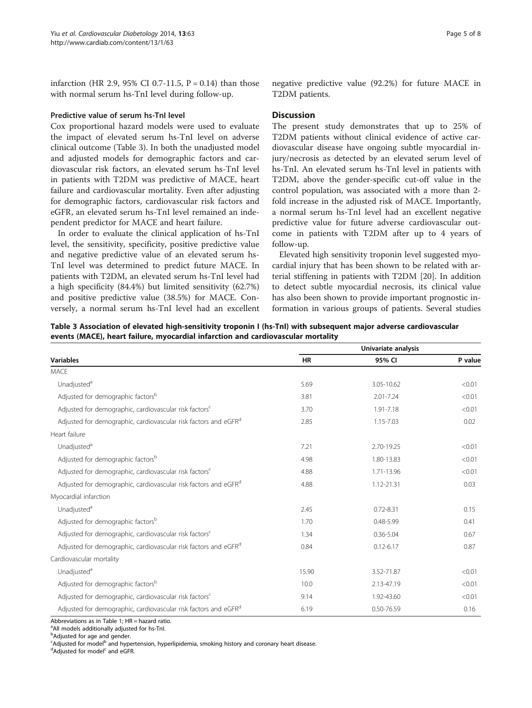infarction (HR 2.9, 95% CI 0.7-11.5,  $P = 0.14$ ) than those with normal serum hs-TnI level during follow-up.

#### Predictive value of serum hs-TnI level

Cox proportional hazard models were used to evaluate the impact of elevated serum hs-TnI level on adverse clinical outcome (Table 3). In both the unadjusted model and adjusted models for demographic factors and cardiovascular risk factors, an elevated serum hs-TnI level in patients with T2DM was predictive of MACE, heart failure and cardiovascular mortality. Even after adjusting for demographic factors, cardiovascular risk factors and eGFR, an elevated serum hs-TnI level remained an independent predictor for MACE and heart failure.

In order to evaluate the clinical application of hs-TnI level, the sensitivity, specificity, positive predictive value and negative predictive value of an elevated serum hs-TnI level was determined to predict future MACE. In patients with T2DM, an elevated serum hs-TnI level had a high specificity (84.4%) but limited sensitivity (62.7%) and positive predictive value (38.5%) for MACE. Conversely, a normal serum hs-TnI level had an excellent

#### **Discussion**

The present study demonstrates that up to 25% of T2DM patients without clinical evidence of active cardiovascular disease have ongoing subtle myocardial injury/necrosis as detected by an elevated serum level of hs-TnI. An elevated serum hs-TnI level in patients with T2DM, above the gender-specific cut-off value in the control population, was associated with a more than 2 fold increase in the adjusted risk of MACE. Importantly, a normal serum hs-TnI level had an excellent negative predictive value for future adverse cardiovascular outcome in patients with T2DM after up to 4 years of follow-up.

Elevated high sensitivity troponin level suggested myocardial injury that has been shown to be related with arterial stiffening in patients with T2DM [[20\]](#page-7-0). In addition to detect subtle myocardial necrosis, its clinical value has also been shown to provide important prognostic information in various groups of patients. Several studies

Table 3 Association of elevated high-sensitivity troponin I (hs-TnI) with subsequent major adverse cardiovascular events (MACE), heart failure, myocardial infarction and cardiovascular mortality

|                                                                             | Univariate analysis |               |         |  |  |
|-----------------------------------------------------------------------------|---------------------|---------------|---------|--|--|
| <b>Variables</b>                                                            | <b>HR</b>           | 95% CI        | P value |  |  |
| <b>MACE</b>                                                                 |                     |               |         |  |  |
| Unadjusted <sup>a</sup>                                                     | 5.69                | 3.05-10.62    | < 0.01  |  |  |
| Adjusted for demographic factors <sup>b</sup>                               | 3.81                | $2.01 - 7.24$ | < 0.01  |  |  |
| Adjusted for demographic, cardiovascular risk factors <sup>c</sup>          | 3.70                | 1.91-7.18     | < 0.01  |  |  |
| Adjusted for demographic, cardiovascular risk factors and eGFR <sup>d</sup> | 2.85                | 1.15-7.03     | 0.02    |  |  |
| Heart failure                                                               |                     |               |         |  |  |
| Unadjusted <sup>a</sup>                                                     | 7.21                | 2.70-19.25    | < 0.01  |  |  |
| Adjusted for demographic factors <sup>b</sup>                               | 4.98                | 1.80-13.83    | < 0.01  |  |  |
| Adjusted for demographic, cardiovascular risk factors <sup>c</sup>          | 4.88                | 1.71-13.96    | < 0.01  |  |  |
| Adjusted for demographic, cardiovascular risk factors and eGFR <sup>d</sup> | 4.88                | 1.12-21.31    | 0.03    |  |  |
| Myocardial infarction                                                       |                     |               |         |  |  |
| Unadjusted <sup>a</sup>                                                     | 2.45                | $0.72 - 8.31$ | 0.15    |  |  |
| Adjusted for demographic factors <sup>b</sup>                               | 1.70                | $0.48 - 5.99$ | 0.41    |  |  |
| Adjusted for demographic, cardiovascular risk factors <sup>c</sup>          | 1.34                | $0.36 - 5.04$ | 0.67    |  |  |
| Adjusted for demographic, cardiovascular risk factors and eGFR <sup>d</sup> | 0.84                | $0.12 - 6.17$ | 0.87    |  |  |
| Cardiovascular mortality                                                    |                     |               |         |  |  |
| Unadjusted <sup>a</sup>                                                     | 15.90               | 3.52-71.87    | < 0.01  |  |  |
| Adjusted for demographic factors <sup>b</sup>                               | 10.0                | 2.13-47.19    | < 0.01  |  |  |
| Adjusted for demographic, cardiovascular risk factors <sup>c</sup>          | 9.14                | 1.92-43.60    | < 0.01  |  |  |
| Adjusted for demographic, cardiovascular risk factors and eGFR <sup>d</sup> | 6.19                | 0.50-76.59    | 0.16    |  |  |

Abbreviations as in Table [1;](#page-2-0)  $HR =$  hazard ratio.

<sup>a</sup> All models additionally adjusted for hs-Tnl.

<sup>b</sup>Adjusted for age and gender.

<sup>c</sup>Adjusted for model<sup>b</sup> and hypertension, hyperlipidemia, smoking history and coronary heart disease.<br><sup>d</sup>Adjusted for model<sup>c</sup> and eGEP

<sup>d</sup>Adjusted for model<sup>c</sup> and eGFR.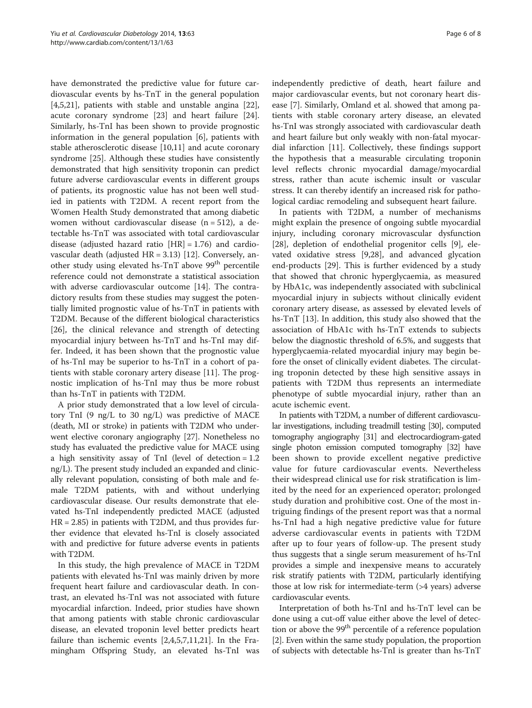have demonstrated the predictive value for future cardiovascular events by hs-TnT in the general population [[4,5,](#page-6-0)[21\]](#page-7-0), patients with stable and unstable angina [\[22](#page-7-0)], acute coronary syndrome [[23\]](#page-7-0) and heart failure [\[24](#page-7-0)]. Similarly, hs-TnI has been shown to provide prognostic information in the general population [\[6](#page-6-0)], patients with stable atherosclerotic disease [\[10,11](#page-6-0)] and acute coronary syndrome [[25](#page-7-0)]. Although these studies have consistently demonstrated that high sensitivity troponin can predict future adverse cardiovascular events in different groups of patients, its prognostic value has not been well studied in patients with T2DM. A recent report from the Women Health Study demonstrated that among diabetic women without cardiovascular disease  $(n = 512)$ , a detectable hs-TnT was associated with total cardiovascular disease (adjusted hazard ratio  $|HR| = 1.76$ ) and cardiovascular death (adjusted HR = 3.13) [[12](#page-6-0)]. Conversely, another study using elevated hs-TnT above 99<sup>th</sup> percentile reference could not demonstrate a statistical association with adverse cardiovascular outcome [\[14](#page-6-0)]. The contradictory results from these studies may suggest the potentially limited prognostic value of hs-TnT in patients with T2DM. Because of the different biological characteristics [[26\]](#page-7-0), the clinical relevance and strength of detecting myocardial injury between hs-TnT and hs-TnI may differ. Indeed, it has been shown that the prognostic value of hs-TnI may be superior to hs-TnT in a cohort of patients with stable coronary artery disease [[11\]](#page-6-0). The prognostic implication of hs-TnI may thus be more robust than hs-TnT in patients with T2DM.

A prior study demonstrated that a low level of circulatory TnI (9 ng/L to 30 ng/L) was predictive of MACE (death, MI or stroke) in patients with T2DM who underwent elective coronary angiography [[27](#page-7-0)]. Nonetheless no study has evaluated the predictive value for MACE using a high sensitivity assay of TnI (level of detection = 1.2 ng/L). The present study included an expanded and clinically relevant population, consisting of both male and female T2DM patients, with and without underlying cardiovascular disease. Our results demonstrate that elevated hs-TnI independently predicted MACE (adjusted  $HR = 2.85$ ) in patients with T2DM, and thus provides further evidence that elevated hs-TnI is closely associated with and predictive for future adverse events in patients with T2DM.

In this study, the high prevalence of MACE in T2DM patients with elevated hs-TnI was mainly driven by more frequent heart failure and cardiovascular death. In contrast, an elevated hs-TnI was not associated with future myocardial infarction. Indeed, prior studies have shown that among patients with stable chronic cardiovascular disease, an elevated troponin level better predicts heart failure than ischemic events [\[2,4](#page-6-0),[5](#page-6-0),[7](#page-6-0),[11](#page-6-0),[21](#page-7-0)]. In the Framingham Offspring Study, an elevated hs-TnI was independently predictive of death, heart failure and major cardiovascular events, but not coronary heart disease [\[7\]](#page-6-0). Similarly, Omland et al. showed that among patients with stable coronary artery disease, an elevated hs-TnI was strongly associated with cardiovascular death and heart failure but only weakly with non-fatal myocardial infarction [\[11\]](#page-6-0). Collectively, these findings support the hypothesis that a measurable circulating troponin level reflects chronic myocardial damage/myocardial stress, rather than acute ischemic insult or vascular stress. It can thereby identify an increased risk for pathological cardiac remodeling and subsequent heart failure.

In patients with T2DM, a number of mechanisms might explain the presence of ongoing subtle myocardial injury, including coronary microvascular dysfunction [[28\]](#page-7-0), depletion of endothelial progenitor cells [\[9](#page-6-0)], elevated oxidative stress [[9,](#page-6-0)[28\]](#page-7-0), and advanced glycation end-products [\[29](#page-7-0)]. This is further evidenced by a study that showed that chronic hyperglycaemia, as measured by HbA1c, was independently associated with subclinical myocardial injury in subjects without clinically evident coronary artery disease, as assessed by elevated levels of hs-TnT [[13\]](#page-6-0). In addition, this study also showed that the association of HbA1c with hs-TnT extends to subjects below the diagnostic threshold of 6.5%, and suggests that hyperglycaemia-related myocardial injury may begin before the onset of clinically evident diabetes. The circulating troponin detected by these high sensitive assays in patients with T2DM thus represents an intermediate phenotype of subtle myocardial injury, rather than an acute ischemic event.

In patients with T2DM, a number of different cardiovascular investigations, including treadmill testing [\[30\]](#page-7-0), computed tomography angiography [\[31](#page-7-0)] and electrocardiogram-gated single photon emission computed tomography [\[32\]](#page-7-0) have been shown to provide excellent negative predictive value for future cardiovascular events. Nevertheless their widespread clinical use for risk stratification is limited by the need for an experienced operator; prolonged study duration and prohibitive cost. One of the most intriguing findings of the present report was that a normal hs-TnI had a high negative predictive value for future adverse cardiovascular events in patients with T2DM after up to four years of follow-up. The present study thus suggests that a single serum measurement of hs-TnI provides a simple and inexpensive means to accurately risk stratify patients with T2DM, particularly identifying those at low risk for intermediate-term (>4 years) adverse cardiovascular events.

Interpretation of both hs-TnI and hs-TnT level can be done using a cut-off value either above the level of detection or above the 99<sup>th</sup> percentile of a reference population [[2\]](#page-6-0). Even within the same study population, the proportion of subjects with detectable hs-TnI is greater than hs-TnT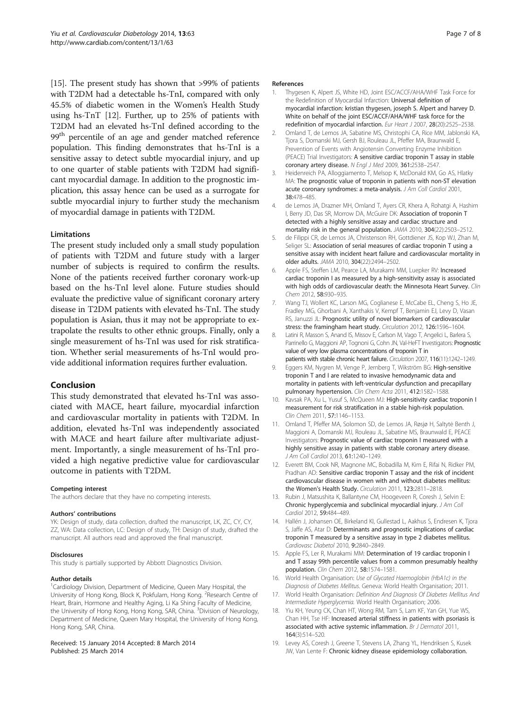<span id="page-6-0"></span>[15]. The present study has shown that >99% of patients with T2DM had a detectable hs-TnI, compared with only 45.5% of diabetic women in the Women's Health Study using hs-TnT [12]. Further, up to 25% of patients with T2DM had an elevated hs-TnI defined according to the 99<sup>th</sup> percentile of an age and gender matched reference population. This finding demonstrates that hs-TnI is a sensitive assay to detect subtle myocardial injury, and up to one quarter of stable patients with T2DM had significant myocardial damage. In addition to the prognostic implication, this assay hence can be used as a surrogate for subtle myocardial injury to further study the mechanism of myocardial damage in patients with T2DM.

## Limitations

The present study included only a small study population of patients with T2DM and future study with a larger number of subjects is required to confirm the results. None of the patients received further coronary work-up based on the hs-TnI level alone. Future studies should evaluate the predictive value of significant coronary artery disease in T2DM patients with elevated hs-TnI. The study population is Asian, thus it may not be appropriate to extrapolate the results to other ethnic groups. Finally, only a single measurement of hs-TnI was used for risk stratification. Whether serial measurements of hs-TnI would provide additional information requires further evaluation.

# Conclusion

This study demonstrated that elevated hs-TnI was associated with MACE, heart failure, myocardial infarction and cardiovascular mortality in patients with T2DM. In addition, elevated hs-TnI was independently associated with MACE and heart failure after multivariate adjustment. Importantly, a single measurement of hs-TnI provided a high negative predictive value for cardiovascular outcome in patients with T2DM.

#### Competing interest

The authors declare that they have no competing interests.

#### Authors' contributions

YK: Design of study, data collection, drafted the manuscript, LK, ZC, CY, CY, ZZ, WA: Data collection, LC: Design of study, TH: Design of study, drafted the manuscript. All authors read and approved the final manuscript.

#### Disclosures

This study is partially supported by Abbott Diagnostics Division.

#### Author details

<sup>1</sup>Cardiology Division, Department of Medicine, Queen Mary Hospital, the University of Hong Kong, Block K, Pokfulam, Hong Kong. <sup>2</sup>Research Centre of Heart, Brain, Hormone and Healthy Aging, Li Ka Shing Faculty of Medicine, the University of Hong Kong, Hong Kong, SAR, China. <sup>3</sup>Division of Neurology, Department of Medicine, Queen Mary Hospital, the University of Hong Kong, Hong Kong, SAR, China.

#### Received: 15 January 2014 Accepted: 8 March 2014 Published: 25 March 2014

#### References

- 1. Thygesen K, Alpert JS, White HD, Joint ESC/ACCF/AHA/WHF Task Force for the Redefinition of Myocardial Infarction: Universal definition of myocardial infarction: kristian thygesen, joseph S. Alpert and harvey D. White on behalf of the joint ESC/ACCF/AHA/WHF task force for the redefinition of myocardial infarction. Eur Heart J 2007, 28(20):2525–2538.
- 2. Omland T, de Lemos JA, Sabatine MS, Christophi CA, Rice MM, Jablonski KA, Tjora S, Domanski MJ, Gersh BJ, Rouleau JL, Pfeffer MA, Braunwald E, Prevention of Events with Angiotensin Converting Enzyme Inhibition (PEACE) Trial Investigators: A sensitive cardiac troponin T assay in stable coronary artery disease. N Engl J Med 2009, 361:2538–2547.
- 3. Heidenreich PA, Alloggiamento T, Melsop K, McDonald KM, Go AS, Hlatky MA: The prognostic value of troponin in patients with non-ST elevation acute coronary syndromes: a meta-analysis. J Am Coll Cardiol 2001, 38:478–485.
- 4. de Lemos JA, Drazner MH, Omland T, Ayers CR, Khera A, Rohatgi A, Hashim I, Berry JD, Das SR, Morrow DA, McGuire DK: Association of troponin T detected with a highly sensitive assay and cardiac structure and mortality risk in the general population. JAMA 2010, 304(22):2503–2512.
- 5. de Filippi CR, de Lemos JA, Christenson RH, Gottdiener JS, Kop WJ, Zhan M, Seliger SL: Association of serial measures of cardiac troponin T using a sensitive assay with incident heart failure and cardiovascular mortality in older adults. JAMA 2010, 304(22):2494–2502.
- 6. Apple FS, Steffen LM, Pearce LA, Murakami MM, Luepker RV: Increased cardiac troponin I as measured by a high-sensitivity assay is associated with high odds of cardiovascular death: the Minnesota Heart Survey. Clin Chem 2012, 58:930–935.
- 7. Wang TJ, Wollert KC, Larson MG, Coglianese E, McCabe EL, Cheng S, Ho JE, Fradley MG, Ghorbani A, Xanthakis V, Kempf T, Benjamin EJ, Levy D, Vasan RS, Januzzi JL: Prognostic utility of novel biomarkers of cardiovascular stress: the framingham heart study. Circulation 2012, 126:1596–1604.
- Latini R, Masson S, Anand IS, Missov E, Carlson M, Vago T, Angelici L, Barlera S, Parrinello G, Maggioni AP, Tognoni G, Cohn JN, Val-HeFT Investigators: Prognostic value of very low plasma concentrations of troponin T in patients with stable chronic heart failure. Circulation 2007, 116(11):1242–1249.
- 9. Eggers KM, Nygren M, Venge P, Jernberg T, Wikström BG: High-sensitive troponin T and I are related to invasive hemodynamic data and mortality in patients with left-ventricular dysfunction and precapillary pulmonary hypertension. Clin Chem Acta 2011, 412:1582-1588
- 10. Kaysak PA, Xu L, Yusuf S, McQueen MJ: High-sensitivity cardiac troponin I measurement for risk stratification in a stable high-risk population. Clin Chem 2011, 57:1146–1153.
- 11. Omland T, Pfeffer MA, Solomon SD, de Lemos JA, Røsjø H, Saltytė Benth J, Maggioni A, Domanski MJ, Rouleau JL, Sabatine MS, Braunwald E, PEACE Investigators: Prognostic value of cardiac troponin I measured with a highly sensitive assay in patients with stable coronary artery disease. J Am Coll Cardiol 2013, 61:1240–1249.
- 12. Everett BM, Cook NR, Magnone MC, Bobadilla M, Kim E, Rifai N, Ridker PM, Pradhan AD: Sensitive cardiac troponin T assay and the risk of incident cardiovascular disease in women with and without diabetes mellitus: the Women's Health Study. Circulation 2011, 123:2811–2818.
- 13. Rubin J, Matsushita K, Ballantyne CM, Hoogeveen R, Coresh J, Selvin E: Chronic hyperglycemia and subclinical myocardial injury. J Am Coll Cardiol 2012, 59:484–489.
- 14. Hallén J, Johansen OE, Birkeland KI, Gullestad L, Aakhus S, Endresen K, Tjora S, Jaffe AS, Atar D: Determinants and prognostic implications of cardiac troponin T measured by a sensitive assay in type 2 diabetes mellitus. Cardiovasc Diabetol 2010, 9:2840–2849.
- 15. Apple FS, Ler R, Murakami MM: Determination of 19 cardiac troponin I and T assay 99th percentile values from a common presumably healthy population. Clin Chem 2012, 58:1574–1581.
- 16. World Health Organisation: Use of Glycated Haemoglobin (HbA1c) in the Diagnosis of Diabetes Mellitus. Geneva: World Health Organisation; 2011.
- 17. World Health Organisation: Definition And Diagnosis Of Diabetes Mellitus And Intermediate Hyperglycemia. World Health Organisation; 2006.
- 18. Yiu KH, Yeung CK, Chan HT, Wong RM, Tam S, Lam KF, Yan GH, Yue WS, Chan HH, Tse HF: Increased arterial stiffness in patients with psoriasis is associated with active systemic inflammation. Br J Dermatol 2011, 164(3):514–520.
- 19. Levey AS, Coresh J, Greene T, Stevens LA, Zhang YL, Hendriksen S, Kusek JW, Van Lente F: Chronic kidney disease epidemiology collaboration.